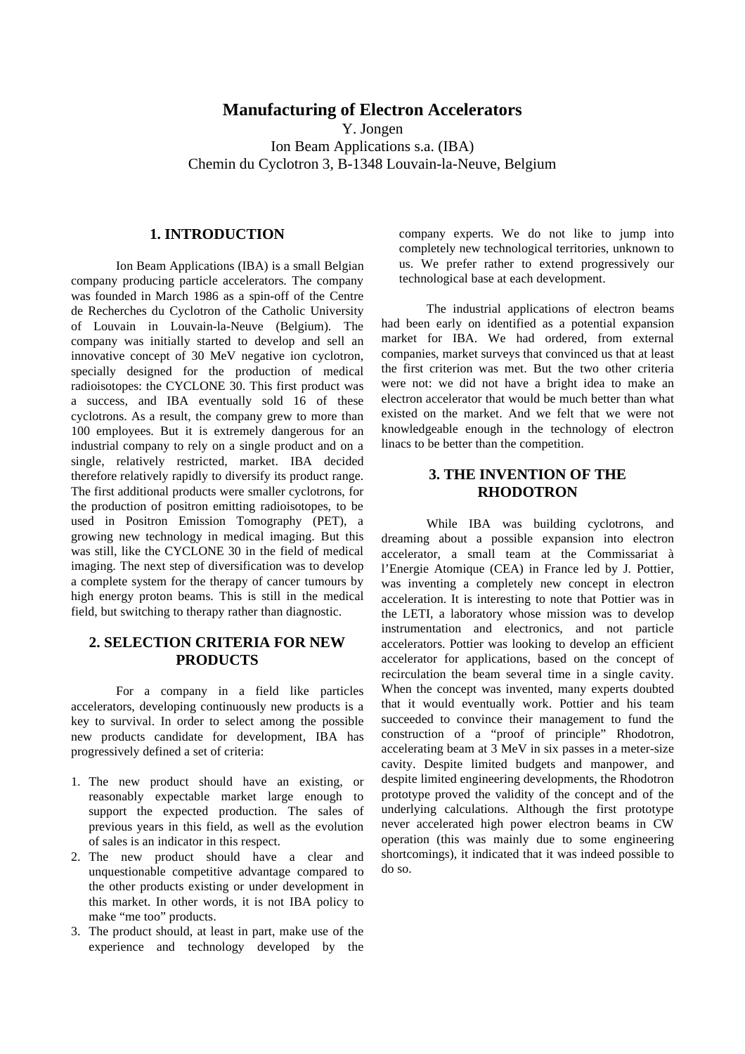## **Manufacturing of Electron Accelerators**

Y. Jongen

Ion Beam Applications s.a. (IBA) Chemin du Cyclotron 3, B-1348 Louvain-la-Neuve, Belgium

#### **1. INTRODUCTION**

Ion Beam Applications (IBA) is a small Belgian company producing particle accelerators. The company was founded in March 1986 as a spin-off of the Centre de Recherches du Cyclotron of the Catholic University of Louvain in Louvain-la-Neuve (Belgium). The company was initially started to develop and sell an innovative concept of 30 MeV negative ion cyclotron, specially designed for the production of medical radioisotopes: the CYCLONE 30. This first product was a success, and IBA eventually sold 16 of these cyclotrons. As a result, the company grew to more than 100 employees. But it is extremely dangerous for an industrial company to rely on a single product and on a single, relatively restricted, market. IBA decided therefore relatively rapidly to diversify its product range. The first additional products were smaller cyclotrons, for the production of positron emitting radioisotopes, to be used in Positron Emission Tomography (PET), a growing new technology in medical imaging. But this was still, like the CYCLONE 30 in the field of medical imaging. The next step of diversification was to develop a complete system for the therapy of cancer tumours by high energy proton beams. This is still in the medical field, but switching to therapy rather than diagnostic.

### **2. SELECTION CRITERIA FOR NEW PRODUCTS**

For a company in a field like particles accelerators, developing continuously new products is a key to survival. In order to select among the possible new products candidate for development, IBA has progressively defined a set of criteria:

- 1. The new product should have an existing, or reasonably expectable market large enough to support the expected production. The sales of previous years in this field, as well as the evolution of sales is an indicator in this respect.
- 2. The new product should have a clear and unquestionable competitive advantage compared to the other products existing or under development in this market. In other words, it is not IBA policy to make "me too" products.
- 3. The product should, at least in part, make use of the experience and technology developed by the

company experts. We do not like to jump into completely new technological territories, unknown to us. We prefer rather to extend progressively our technological base at each development.

The industrial applications of electron beams had been early on identified as a potential expansion market for IBA. We had ordered, from external companies, market surveys that convinced us that at least the first criterion was met. But the two other criteria were not: we did not have a bright idea to make an electron accelerator that would be much better than what existed on the market. And we felt that we were not knowledgeable enough in the technology of electron linacs to be better than the competition.

## **3. THE INVENTION OF THE RHODOTRON**

While IBA was building cyclotrons, and dreaming about a possible expansion into electron accelerator, a small team at the Commissariat à l'Energie Atomique (CEA) in France led by J. Pottier, was inventing a completely new concept in electron acceleration. It is interesting to note that Pottier was in the LETI, a laboratory whose mission was to develop instrumentation and electronics, and not particle accelerators. Pottier was looking to develop an efficient accelerator for applications, based on the concept of recirculation the beam several time in a single cavity. When the concept was invented, many experts doubted that it would eventually work. Pottier and his team succeeded to convince their management to fund the construction of a "proof of principle" Rhodotron, accelerating beam at 3 MeV in six passes in a meter-size cavity. Despite limited budgets and manpower, and despite limited engineering developments, the Rhodotron prototype proved the validity of the concept and of the underlying calculations. Although the first prototype never accelerated high power electron beams in CW operation (this was mainly due to some engineering shortcomings), it indicated that it was indeed possible to do so.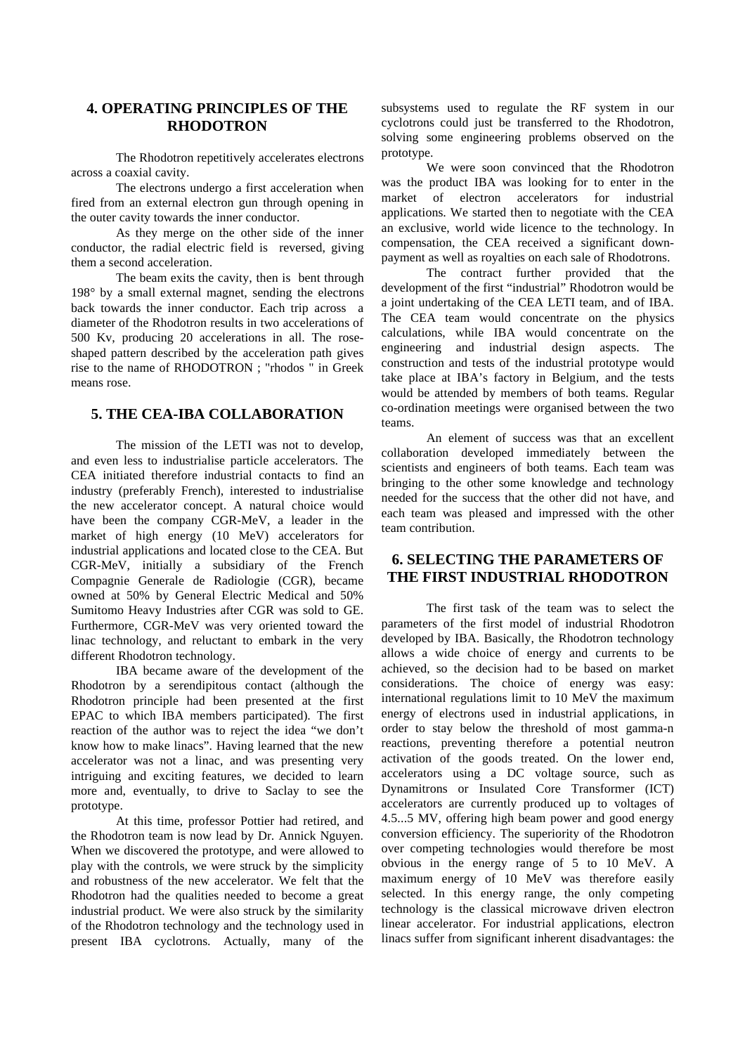# **4. OPERATING PRINCIPLES OF THE RHODOTRON**

The Rhodotron repetitively accelerates electrons across a coaxial cavity.

The electrons undergo a first acceleration when fired from an external electron gun through opening in the outer cavity towards the inner conductor.

As they merge on the other side of the inner conductor, the radial electric field is reversed, giving them a second acceleration.

The beam exits the cavity, then is bent through 198° by a small external magnet, sending the electrons back towards the inner conductor. Each trip across a diameter of the Rhodotron results in two accelerations of 500 Kv, producing 20 accelerations in all. The roseshaped pattern described by the acceleration path gives rise to the name of RHODOTRON ; "rhodos " in Greek means rose.

#### **5. THE CEA-IBA COLLABORATION**

The mission of the LETI was not to develop, and even less to industrialise particle accelerators. The CEA initiated therefore industrial contacts to find an industry (preferably French), interested to industrialise the new accelerator concept. A natural choice would have been the company CGR-MeV, a leader in the market of high energy (10 MeV) accelerators for industrial applications and located close to the CEA. But CGR-MeV, initially a subsidiary of the French Compagnie Generale de Radiologie (CGR), became owned at 50% by General Electric Medical and 50% Sumitomo Heavy Industries after CGR was sold to GE. Furthermore, CGR-MeV was very oriented toward the linac technology, and reluctant to embark in the very different Rhodotron technology.

IBA became aware of the development of the Rhodotron by a serendipitous contact (although the Rhodotron principle had been presented at the first EPAC to which IBA members participated). The first reaction of the author was to reject the idea "we don't know how to make linacs". Having learned that the new accelerator was not a linac, and was presenting very intriguing and exciting features, we decided to learn more and, eventually, to drive to Saclay to see the prototype.

At this time, professor Pottier had retired, and the Rhodotron team is now lead by Dr. Annick Nguyen. When we discovered the prototype, and were allowed to play with the controls, we were struck by the simplicity and robustness of the new accelerator. We felt that the Rhodotron had the qualities needed to become a great industrial product. We were also struck by the similarity of the Rhodotron technology and the technology used in present IBA cyclotrons. Actually, many of the subsystems used to regulate the RF system in our cyclotrons could just be transferred to the Rhodotron, solving some engineering problems observed on the prototype.

We were soon convinced that the Rhodotron was the product IBA was looking for to enter in the market of electron accelerators for industrial applications. We started then to negotiate with the CEA an exclusive, world wide licence to the technology. In compensation, the CEA received a significant downpayment as well as royalties on each sale of Rhodotrons.

The contract further provided that the development of the first "industrial" Rhodotron would be a joint undertaking of the CEA LETI team, and of IBA. The CEA team would concentrate on the physics calculations, while IBA would concentrate on the engineering and industrial design aspects. The construction and tests of the industrial prototype would take place at IBA's factory in Belgium, and the tests would be attended by members of both teams. Regular co-ordination meetings were organised between the two teams.

An element of success was that an excellent collaboration developed immediately between the scientists and engineers of both teams. Each team was bringing to the other some knowledge and technology needed for the success that the other did not have, and each team was pleased and impressed with the other team contribution.

## **6. SELECTING THE PARAMETERS OF THE FIRST INDUSTRIAL RHODOTRON**

The first task of the team was to select the parameters of the first model of industrial Rhodotron developed by IBA. Basically, the Rhodotron technology allows a wide choice of energy and currents to be achieved, so the decision had to be based on market considerations. The choice of energy was easy: international regulations limit to 10 MeV the maximum energy of electrons used in industrial applications, in order to stay below the threshold of most gamma-n reactions, preventing therefore a potential neutron activation of the goods treated. On the lower end, accelerators using a DC voltage source, such as Dynamitrons or Insulated Core Transformer (ICT) accelerators are currently produced up to voltages of 4.5...5 MV, offering high beam power and good energy conversion efficiency. The superiority of the Rhodotron over competing technologies would therefore be most obvious in the energy range of 5 to 10 MeV. A maximum energy of 10 MeV was therefore easily selected. In this energy range, the only competing technology is the classical microwave driven electron linear accelerator. For industrial applications, electron linacs suffer from significant inherent disadvantages: the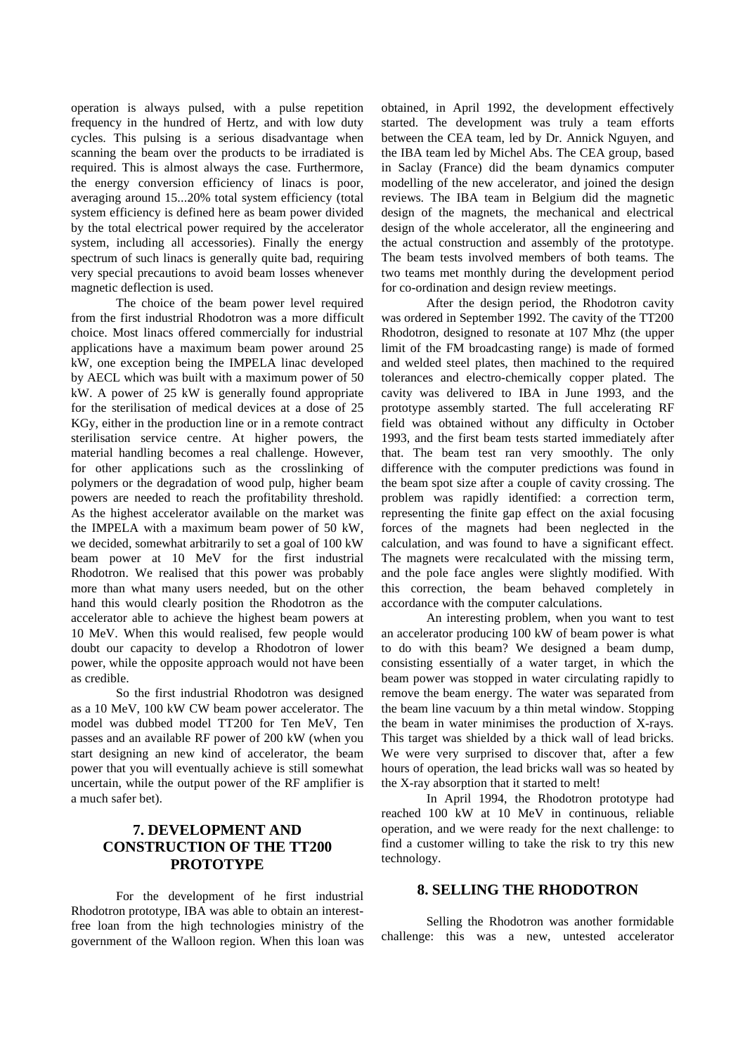operation is always pulsed, with a pulse repetition frequency in the hundred of Hertz, and with low duty cycles. This pulsing is a serious disadvantage when scanning the beam over the products to be irradiated is required. This is almost always the case. Furthermore, the energy conversion efficiency of linacs is poor, averaging around 15...20% total system efficiency (total system efficiency is defined here as beam power divided by the total electrical power required by the accelerator system, including all accessories). Finally the energy spectrum of such linacs is generally quite bad, requiring very special precautions to avoid beam losses whenever magnetic deflection is used.

The choice of the beam power level required from the first industrial Rhodotron was a more difficult choice. Most linacs offered commercially for industrial applications have a maximum beam power around 25 kW, one exception being the IMPELA linac developed by AECL which was built with a maximum power of 50 kW. A power of 25 kW is generally found appropriate for the sterilisation of medical devices at a dose of 25 KGy, either in the production line or in a remote contract sterilisation service centre. At higher powers, the material handling becomes a real challenge. However, for other applications such as the crosslinking of polymers or the degradation of wood pulp, higher beam powers are needed to reach the profitability threshold. As the highest accelerator available on the market was the IMPELA with a maximum beam power of 50 kW, we decided, somewhat arbitrarily to set a goal of 100 kW beam power at 10 MeV for the first industrial Rhodotron. We realised that this power was probably more than what many users needed, but on the other hand this would clearly position the Rhodotron as the accelerator able to achieve the highest beam powers at 10 MeV. When this would realised, few people would doubt our capacity to develop a Rhodotron of lower power, while the opposite approach would not have been as credible.

So the first industrial Rhodotron was designed as a 10 MeV, 100 kW CW beam power accelerator. The model was dubbed model TT200 for Ten MeV, Ten passes and an available RF power of 200 kW (when you start designing an new kind of accelerator, the beam power that you will eventually achieve is still somewhat uncertain, while the output power of the RF amplifier is a much safer bet).

# **7. DEVELOPMENT AND CONSTRUCTION OF THE TT200 PROTOTYPE**

For the development of he first industrial Rhodotron prototype, IBA was able to obtain an interestfree loan from the high technologies ministry of the government of the Walloon region. When this loan was

obtained, in April 1992, the development effectively started. The development was truly a team efforts between the CEA team, led by Dr. Annick Nguyen, and the IBA team led by Michel Abs. The CEA group, based in Saclay (France) did the beam dynamics computer modelling of the new accelerator, and joined the design reviews. The IBA team in Belgium did the magnetic design of the magnets, the mechanical and electrical design of the whole accelerator, all the engineering and the actual construction and assembly of the prototype. The beam tests involved members of both teams. The two teams met monthly during the development period for co-ordination and design review meetings.

After the design period, the Rhodotron cavity was ordered in September 1992. The cavity of the TT200 Rhodotron, designed to resonate at 107 Mhz (the upper limit of the FM broadcasting range) is made of formed and welded steel plates, then machined to the required tolerances and electro-chemically copper plated. The cavity was delivered to IBA in June 1993, and the prototype assembly started. The full accelerating RF field was obtained without any difficulty in October 1993, and the first beam tests started immediately after that. The beam test ran very smoothly. The only difference with the computer predictions was found in the beam spot size after a couple of cavity crossing. The problem was rapidly identified: a correction term, representing the finite gap effect on the axial focusing forces of the magnets had been neglected in the calculation, and was found to have a significant effect. The magnets were recalculated with the missing term, and the pole face angles were slightly modified. With this correction, the beam behaved completely in accordance with the computer calculations.

An interesting problem, when you want to test an accelerator producing 100 kW of beam power is what to do with this beam? We designed a beam dump, consisting essentially of a water target, in which the beam power was stopped in water circulating rapidly to remove the beam energy. The water was separated from the beam line vacuum by a thin metal window. Stopping the beam in water minimises the production of X-rays. This target was shielded by a thick wall of lead bricks. We were very surprised to discover that, after a few hours of operation, the lead bricks wall was so heated by the X-ray absorption that it started to melt!

In April 1994, the Rhodotron prototype had reached 100 kW at 10 MeV in continuous, reliable operation, and we were ready for the next challenge: to find a customer willing to take the risk to try this new technology.

#### **8. SELLING THE RHODOTRON**

Selling the Rhodotron was another formidable challenge: this was a new, untested accelerator